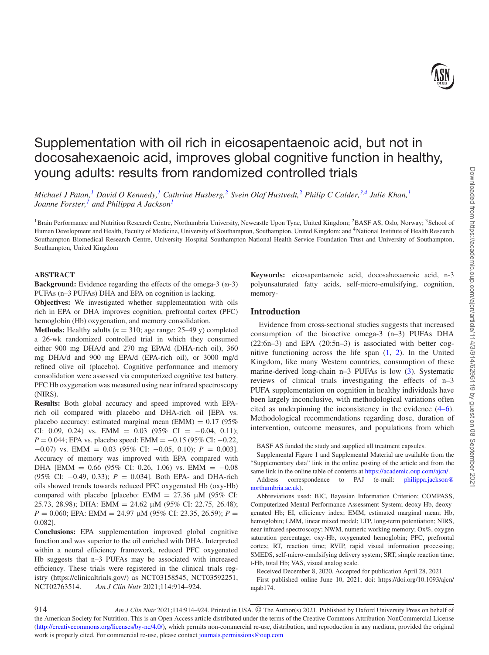# Supplementation with oil rich in eicosapentaenoic acid, but not in docosahexaenoic acid, improves global cognitive function in healthy, young adults: results from randomized controlled trials

*Michael J Patan,[1](#page-0-0) David O Kennedy[,1](#page-0-0) Cathrine Husberg,[2](#page-0-1) Svein Olaf Hustvedt,[2](#page-0-1) Philip C Calder[,3](#page-0-2)[,4](#page-0-3) Julie Khan,[1](#page-0-0) Joanne Forster[,1](#page-0-0) and Philippa A Jackso[n1](#page-0-0)*

<span id="page-0-0"></span><sup>1</sup> Brain Performance and Nutrition Research Centre, Northumbria University, Newcastle Upon Tyne, United Kingdom; <sup>2</sup>BASF AS, Oslo, Norway; <sup>3</sup>School of Human Development and Health, Faculty of Medicine, University of Southampton, Southampton, United Kingdom; and <sup>4</sup>National Institute of Health Research Southampton Biomedical Research Centre, University Hospital Southampton National Health Service Foundation Trust and University of Southampton, Southampton, United Kingdom

## **ABSTRACT**

**Background:** Evidence regarding the effects of the omega-3 ( $\omega$ -3) PUFAs (n–3 PUFAs) DHA and EPA on cognition is lacking.

**Objectives:** We investigated whether supplementation with oils rich in EPA or DHA improves cognition, prefrontal cortex (PFC) hemoglobin (Hb) oxygenation, and memory consolidation.

**Methods:** Healthy adults  $(n = 310;$  age range: 25–49 y) completed a 26-wk randomized controlled trial in which they consumed either 900 mg DHA/d and 270 mg EPA/d (DHA-rich oil), 360 mg DHA/d and 900 mg EPA/d (EPA-rich oil), or 3000 mg/d refined olive oil (placebo). Cognitive performance and memory consolidation were assessed via computerized cognitive test battery. PFC Hb oxygenation was measured using near infrared spectroscopy (NIRS).

**Results:** Both global accuracy and speed improved with EPArich oil compared with placebo and DHA-rich oil [EPA vs. placebo accuracy: estimated marginal mean (EMM) =  $0.17$  (95%) CI: 0.09, 0.24) vs. EMM = 0.03 (95% CI = -0.04, 0.11); *P* = 0.044; EPA vs. placebo speed: EMM = −0.15 (95% CI: −0.22, −0.07) vs. EMM = 0.03 (95% CI: −0.05, 0.10); *P* = 0.003]. Accuracy of memory was improved with EPA compared with DHA [EMM =  $0.66$  (95% CI: 0.26, 1.06) vs. EMM =  $-0.08$ (95% CI: −0.49, 0.33); *P* = 0.034]. Both EPA- and DHA-rich oils showed trends towards reduced PFC oxygenated Hb (oxy-Hb) compared with placebo [placebo: EMM = 27.36 μM (95% CI: 25.73, 28.98); DHA: EMM = 24.62 μM (95% CI: 22.75, 26.48); *P* = 0.060; EPA: EMM = 24.97 μM (95% CI: 23.35, 26.59); *P* = 0.082].

**Conclusions:** EPA supplementation improved global cognitive function and was superior to the oil enriched with DHA. Interpreted within a neural efficiency framework, reduced PFC oxygenated Hb suggests that n–3 PUFAs may be associated with increased efficiency. These trials were registered in the clinical trials registry (https://clinicaltrials.gov/) as NCT03158545, NCT03592251, NCT02763514. *Am J Clin Nutr* 2021;114:914–924.

<span id="page-0-3"></span><span id="page-0-2"></span><span id="page-0-1"></span>**Keywords:** eicosapentaenoic acid, docosahexaenoic acid, n-3 polyunsaturated fatty acids, self-micro-emulsifying, cognition, memory-

# **Introduction**

Evidence from cross-sectional studies suggests that increased consumption of the bioactive omega-3 (n–3) PUFAs DHA (22:6n–3) and EPA (20:5n*–*3) is associated with better cognitive functioning across the life span [\(1,](#page-9-0) [2\)](#page-9-1). In the United Kingdom, like many Western countries, consumption of these marine-derived long-chain n–3 PUFAs is low [\(3\)](#page-9-2). Systematic reviews of clinical trials investigating the effects of n–3 PUFA supplementation on cognition in healthy individuals have been largely inconclusive, with methodological variations often cited as underpinning the inconsistency in the evidence [\(4–6\)](#page-9-3). Methodological recommendations regarding dose, duration of intervention, outcome measures, and populations from which

BASF AS funded the study and supplied all treatment capsules.

Supplemental Figure 1 and Supplemental Material are available from the "Supplementary data" link in the online posting of the article and from the same link in the online table of contents at [https://academic.oup.com/ajcn/.](https://academic.oup.com/ajcn/) [Address correspondence to PAJ \(e-mail:](mailto:philippa.jackson@northumbria.ac.uk) philippa.jackson@ northumbria.ac.uk).

Abbreviations used: BIC, Bayesian Information Criterion; COMPASS, Computerized Mental Performance Assessment System; deoxy-Hb, deoxygenated Hb; EI, efficiency index; EMM, estimated marginal mean; Hb, hemoglobin; LMM, linear mixed model; LTP, long-term potentiation; NIRS, near infrared spectroscopy; NWM, numeric working memory; Ox%, oxygen saturation percentage; oxy-Hb, oxygenated hemoglobin; PFC, prefrontal cortex; RT, reaction time; RVIP, rapid visual information processing; SMEDS, self-micro-emulsifying delivery system; SRT, simple reaction time; t-Hb, total Hb; VAS, visual analog scale.

Received December 8, 2020. Accepted for publication April 28, 2021.

First published online June 10, 2021; doi: https://doi.org/10.1093/ajcn/ nqab174.

<sup>914</sup> *Am J Clin Nutr* 2021;114:914–924. Printed in USA. © The Author(s) 2021. Published by Oxford University Press on behalf of the American Society for Nutrition. This is an Open Access article distributed under the terms of the Creative Commons Attribution-NonCommercial License [\(http://creativecommons.org/licenses/by-nc/4.0/\)](http://creativecommons.org/licenses/by-nc/4.0/), which permits non-commercial re-use, distribution, and reproduction in any medium, provided the original work is properly cited. For commercial re-use, please contact [journals.permissions@oup.com](mailto:journals.permissions@oup.com)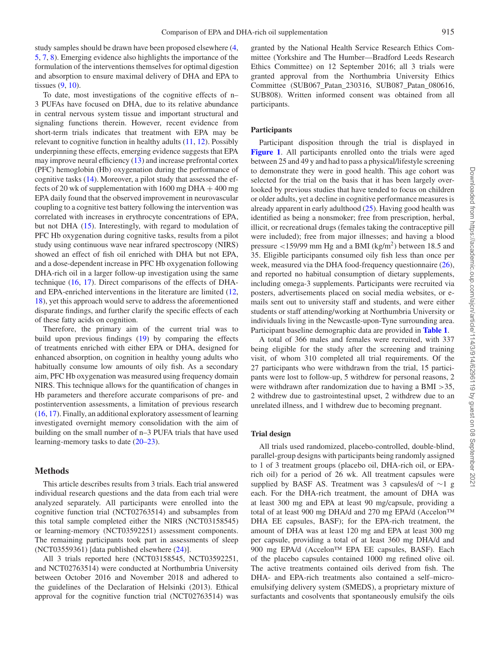study samples should be drawn have been proposed elsewhere [\(4,](#page-9-3) [5,](#page-9-4) [7,](#page-9-5) [8\)](#page-9-6). Emerging evidence also highlights the importance of the formulation of the interventions themselves for optimal digestion and absorption to ensure maximal delivery of DHA and EPA to tissues [\(9,](#page-9-7) [10\)](#page-9-8).

To date, most investigations of the cognitive effects of n– 3 PUFAs have focused on DHA, due to its relative abundance in central nervous system tissue and important structural and signaling functions therein. However, recent evidence from short-term trials indicates that treatment with EPA may be relevant to cognitive function in healthy adults [\(11,](#page-9-9) [12\)](#page-9-10). Possibly underpinning these effects, emerging evidence suggests that EPA may improve neural efficiency [\(13\)](#page-9-11) and increase prefrontal cortex (PFC) hemoglobin (Hb) oxygenation during the performance of cognitive tasks [\(14\)](#page-9-12). Moreover, a pilot study that assessed the effects of 20 wk of supplementation with  $1600$  mg DHA  $+$  400 mg EPA daily found that the observed improvement in neurovascular coupling to a cognitive test battery following the intervention was correlated with increases in erythrocyte concentrations of EPA, but not DHA [\(15\)](#page-9-13). Interestingly, with regard to modulation of PFC Hb oxygenation during cognitive tasks, results from a pilot study using continuous wave near infrared spectroscopy (NIRS) showed an effect of fish oil enriched with DHA but not EPA, and a dose-dependent increase in PFC Hb oxygenation following DHA-rich oil in a larger follow-up investigation using the same technique [\(16,](#page-9-14) [17\)](#page-9-15). Direct comparisons of the effects of DHAand EPA-enriched interventions in the literature are limited [\(12,](#page-9-10) [18\)](#page-9-16), yet this approach would serve to address the aforementioned disparate findings, and further clarify the specific effects of each of these fatty acids on cognition.

Therefore, the primary aim of the current trial was to build upon previous findings [\(19\)](#page-9-17) by comparing the effects of treatments enriched with either EPA or DHA, designed for enhanced absorption, on cognition in healthy young adults who habitually consume low amounts of oily fish. As a secondary aim, PFC Hb oxygenation was measured using frequency domain NIRS. This technique allows for the quantification of changes in Hb parameters and therefore accurate comparisons of pre- and postintervention assessments, a limitation of previous research [\(16,](#page-9-14) [17\)](#page-9-15). Finally, an additional exploratory assessment of learning investigated overnight memory consolidation with the aim of building on the small number of n–3 PUFA trials that have used learning-memory tasks to date [\(20–23\)](#page-9-18).

## **Methods**

This article describes results from 3 trials. Each trial answered individual research questions and the data from each trial were analyzed separately. All participants were enrolled into the cognitive function trial (NCT02763514) and subsamples from this total sample completed either the NIRS (NCT03158545) or learning-memory (NCT03592251) assessment components. The remaining participants took part in assessments of sleep (NCT03559361) [data published elsewhere [\(24\)](#page-9-19)].

All 3 trials reported here (NCT03158545, NCT03592251, and NCT02763514) were conducted at Northumbria University between October 2016 and November 2018 and adhered to the guidelines of the Declaration of Helsinki (2013). Ethical approval for the cognitive function trial (NCT02763514) was granted by the National Health Service Research Ethics Committee (Yorkshire and The Humber—Bradford Leeds Research Ethics Committee) on 12 September 2016; all 3 trials were granted approval from the Northumbria University Ethics Committee (SUB067\_Patan\_230316, SUB087\_Patan\_080616, SUB808). Written informed consent was obtained from all participants.

### **Participants**

Participant disposition through the trial is displayed in **[Figure 1](#page-2-0)**. All participants enrolled onto the trials were aged between 25 and 49 y and had to pass a physical/lifestyle screening to demonstrate they were in good health. This age cohort was selected for the trial on the basis that it has been largely overlooked by previous studies that have tended to focus on children or older adults, yet a decline in cognitive performance measures is already apparent in early adulthood [\(25\)](#page-9-20). Having good health was identified as being a nonsmoker; free from prescription, herbal, illicit, or recreational drugs (females taking the contraceptive pill were included); free from major illnesses; and having a blood pressure  $\langle 159/99 \rangle$  mm Hg and a BMI (kg/m<sup>2</sup>) between 18.5 and 35. Eligible participants consumed oily fish less than once per week, measured via the DHA food-frequency questionnaire [\(26\)](#page-9-21), and reported no habitual consumption of dietary supplements, including omega-3 supplements. Participants were recruited via posters, advertisements placed on social media websites, or emails sent out to university staff and students, and were either students or staff attending/working at Northumbria University or individuals living in the Newcastle-upon-Tyne surrounding area. Participant baseline demographic data are provided in **[Table 1](#page-3-0)**.

A total of 366 males and females were recruited, with 337 being eligible for the study after the screening and training visit, of whom 310 completed all trial requirements. Of the 27 participants who were withdrawn from the trial, 15 participants were lost to follow-up, 5 withdrew for personal reasons, 2 were withdrawn after randomization due to having a BMI >35, 2 withdrew due to gastrointestinal upset, 2 withdrew due to an unrelated illness, and 1 withdrew due to becoming pregnant.

### **Trial design**

All trials used randomized, placebo-controlled, double-blind, parallel-group designs with participants being randomly assigned to 1 of 3 treatment groups (placebo oil, DHA-rich oil, or EPArich oil) for a period of 26 wk. All treatment capsules were supplied by BASF AS. Treatment was 3 capsules/d of ∼1 g each. For the DHA-rich treatment, the amount of DHA was at least 300 mg and EPA at least 90 mg/capsule, providing a total of at least 900 mg DHA/d and 270 mg EPA/d (Accelon™ DHA EE capsules, BASF); for the EPA-rich treatment, the amount of DHA was at least 120 mg and EPA at least 300 mg per capsule, providing a total of at least 360 mg DHA/d and 900 mg EPA/d (Accelon™ EPA EE capsules, BASF). Each of the placebo capsules contained 1000 mg refined olive oil. The active treatments contained oils derived from fish. The DHA- and EPA-rich treatments also contained a self–microemulsifying delivery system (SMEDS), a proprietary mixture of surfactants and cosolvents that spontaneously emulsify the oils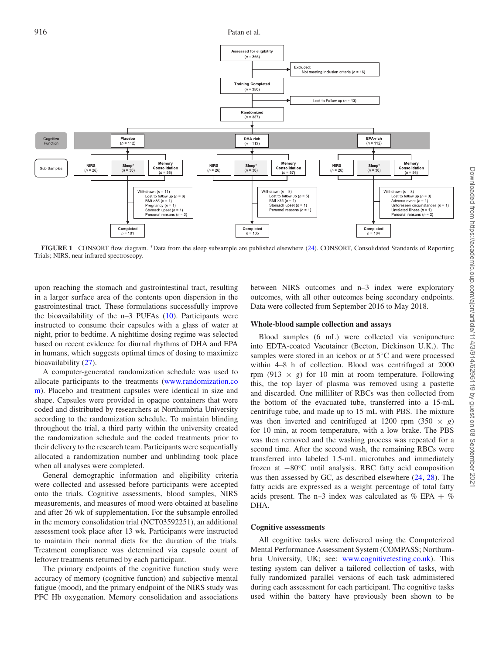<span id="page-2-0"></span>

**FIGURE 1** CONSORT flow diagram. ∗Data from the sleep subsample are published elsewhere [\(24\)](#page-9-19). CONSORT, Consolidated Standards of Reporting Trials; NIRS, near infrared spectroscopy.

upon reaching the stomach and gastrointestinal tract, resulting in a larger surface area of the contents upon dispersion in the gastrointestinal tract. These formulations successfully improve the bioavailability of the n–3 PUFAs [\(10\)](#page-9-8). Participants were instructed to consume their capsules with a glass of water at night, prior to bedtime. A nighttime dosing regime was selected based on recent evidence for diurnal rhythms of DHA and EPA in humans, which suggests optimal times of dosing to maximize bioavailability [\(27\)](#page-10-0).

A computer-generated randomization schedule was used to allocate participants to the treatments (www.randomization.co [m\). Placebo and treatment capsules were identical in size and](http://www.randomization.com) shape. Capsules were provided in opaque containers that were coded and distributed by researchers at Northumbria University according to the randomization schedule. To maintain blinding throughout the trial, a third party within the university created the randomization schedule and the coded treatments prior to their delivery to the research team. Participants were sequentially allocated a randomization number and unblinding took place when all analyses were completed.

General demographic information and eligibility criteria were collected and assessed before participants were accepted onto the trials. Cognitive assessments, blood samples, NIRS measurements, and measures of mood were obtained at baseline and after 26 wk of supplementation. For the subsample enrolled in the memory consolidation trial (NCT03592251), an additional assessment took place after 13 wk. Participants were instructed to maintain their normal diets for the duration of the trials. Treatment compliance was determined via capsule count of leftover treatments returned by each participant.

The primary endpoints of the cognitive function study were accuracy of memory (cognitive function) and subjective mental fatigue (mood), and the primary endpoint of the NIRS study was PFC Hb oxygenation. Memory consolidation and associations between NIRS outcomes and n–3 index were exploratory outcomes, with all other outcomes being secondary endpoints. Data were collected from September 2016 to May 2018.

#### **Whole-blood sample collection and assays**

Blood samples (6 mL) were collected via venipuncture into EDTA-coated Vacutainer (Becton, Dickinson U.K.). The samples were stored in an icebox or at 5◦C and were processed within 4–8 h of collection. Blood was centrifuged at 2000 rpm (913  $\times$  *g*) for 10 min at room temperature. Following this, the top layer of plasma was removed using a pastette and discarded. One milliliter of RBCs was then collected from the bottom of the evacuated tube, transferred into a 15-mL centrifuge tube, and made up to 15 mL with PBS. The mixture was then inverted and centrifuged at 1200 rpm  $(350 \times g)$ for 10 min, at room temperature, with a low brake. The PBS was then removed and the washing process was repeated for a second time. After the second wash, the remaining RBCs were transferred into labeled 1.5-mL microtubes and immediately frozen at −80◦C until analysis. RBC fatty acid composition was then assessed by GC, as described elsewhere  $(24, 28)$  $(24, 28)$  $(24, 28)$ . The fatty acids are expressed as a weight percentage of total fatty acids present. The n–3 index was calculated as  $\%$  EPA +  $\%$ DHA.

#### **Cognitive assessments**

All cognitive tasks were delivered using the Computerized Mental Performance Assessment System (COMPASS; Northumbria University, UK; see: [www.cognitivetesting.co.uk\)](http://www.cognitivetesting.co.uk). This testing system can deliver a tailored collection of tasks, with fully randomized parallel versions of each task administered during each assessment for each participant. The cognitive tasks used within the battery have previously been shown to be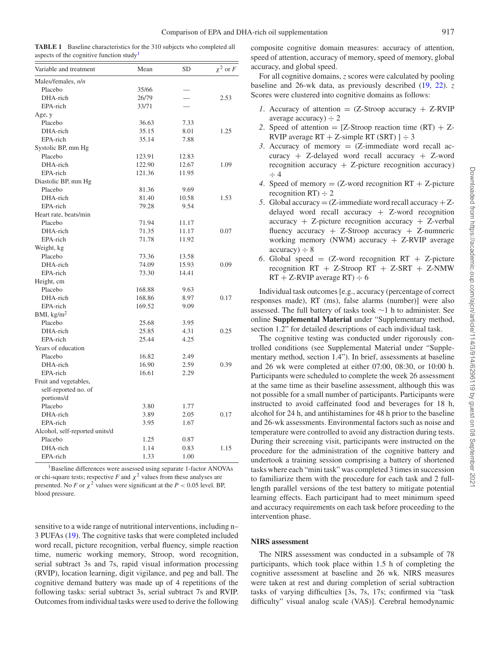<span id="page-3-0"></span>**TABLE 1** Baseline characteristics for the 310 subjects who completed all aspects of the cognitive function study<sup>[1](#page-3-1)</sup>

| Variable and treatment         | Mean   | <b>SD</b> | $\chi^2$ or F |
|--------------------------------|--------|-----------|---------------|
| Males/females, n/n             |        |           |               |
| Placebo                        | 35/66  |           |               |
| DHA-rich                       | 26/79  |           | 2.53          |
| EPA-rich                       | 33/71  |           |               |
| Age, y                         |        |           |               |
| Placebo                        | 36.63  | 7.33      |               |
| DHA-rich                       | 35.15  | 8.01      | 1.25          |
| EPA-rich                       | 35.14  | 7.88      |               |
| Systolic BP, mm Hg             |        |           |               |
| Placebo                        | 123.91 | 12.83     |               |
| DHA-rich                       | 122.90 | 12.67     | 1.09          |
| EPA-rich                       | 121.36 | 11.95     |               |
| Diastolic BP, mm Hg            |        |           |               |
| Placebo                        | 81.36  | 9.69      |               |
| DHA-rich                       | 81.40  | 10.58     | 1.53          |
| EPA-rich                       | 79.28  | 9.54      |               |
| Heart rate, beats/min          |        |           |               |
| Placebo                        | 71.94  | 11.17     |               |
| DHA-rich                       | 71.35  | 11.17     | 0.07          |
| EPA-rich                       | 71.78  | 11.92     |               |
| Weight, kg                     |        |           |               |
| Placebo                        | 73.36  | 13.58     |               |
| DHA-rich                       | 74.09  | 15.93     | 0.09          |
| EPA-rich                       | 73.30  | 14.41     |               |
| Height, cm                     |        |           |               |
| Placebo                        | 168.88 | 9.63      |               |
| DHA-rich                       | 168.86 | 8.97      | 0.17          |
| EPA-rich                       | 169.52 | 9.09      |               |
| BMI, $\text{kg/m}^2$           |        |           |               |
| Placebo                        | 25.68  | 3.95      |               |
| DHA-rich                       | 25.85  | 4.31      | 0.25          |
| EPA-rich                       | 25.44  | 4.25      |               |
| Years of education             |        |           |               |
| Placebo                        | 16.82  | 2.49      |               |
| DHA-rich                       | 16.90  | 2.59      | 0.39          |
| EPA-rich                       | 16.61  | 2.29      |               |
| Fruit and vegetables,          |        |           |               |
| self-reported no. of           |        |           |               |
| portions/d                     |        |           |               |
| Placebo                        | 3.80   | 1.77      |               |
| DHA-rich                       | 3.89   | 2.05      | 0.17          |
| EPA-rich                       | 3.95   | 1.67      |               |
| Alcohol, self-reported units/d |        |           |               |
| Placebo                        | 1.25   | 0.87      |               |
| DHA-rich                       | 1.14   | 0.83      | 1.15          |
| EPA-rich                       | 1.33   | 1.00      |               |

<span id="page-3-1"></span><sup>1</sup>Baseline differences were assessed using separate 1-factor ANOVAs or chi-square tests; respective *F* and  $\chi^2$  values from these analyses are presented. No *F* or  $\chi^2$  values were significant at the *P* < 0.05 level. BP, blood pressure.

sensitive to a wide range of nutritional interventions, including n– 3 PUFAs [\(19\)](#page-9-17). The cognitive tasks that were completed included word recall, picture recognition, verbal fluency, simple reaction time, numeric working memory, Stroop, word recognition, serial subtract 3s and 7s, rapid visual information processing (RVIP), location learning, digit vigilance, and peg and ball. The cognitive demand battery was made up of 4 repetitions of the following tasks: serial subtract 3s, serial subtract 7s and RVIP. Outcomes from individual tasks were used to derive the following composite cognitive domain measures: accuracy of attention, speed of attention, accuracy of memory, speed of memory, global accuracy, and global speed.

For all cognitive domains, *z* scores were calculated by pooling baseline and 26-wk data, as previously described [\(19,](#page-9-17) [22\)](#page-9-22). *z* Scores were clustered into cognitive domains as follows:

- *1*. Accuracy of attention  $= (Z-Stroop)$  accuracy  $+$  Z-RVIP average accuracy)  $\div$  2
- 2. Speed of attention  $=$  [Z-Stroop reaction time (RT)  $+$  Z-RVIP average  $RT + Z$ -simple RT (SRT) ]  $\div$  3
- 3. Accuracy of memory  $= (Z$ -immediate word recall accuracy + Z-delayed word recall accuracy + Z-word recognition accuracy  $+$  Z-picture recognition accuracy)  $\div$  4
- 4. Speed of memory  $= (Z$ -word recognition  $RT + Z$ -picture recognition  $RT$ )  $\div$  2
- *5*. Global accuracy  $= (Z$ -immediate word recall accuracy  $+ Z$ delayed word recall accuracy + Z-word recognition  $accuracy + Z-picture recognition accuracy + Z-verbal$ fluency accuracy  $+$  Z-Stroop accuracy  $+$  Z-numneric working memory (NWM) accuracy  $+$  Z-RVIP average  $accuracy$ )  $\div$  8
- 6. Global speed  $=$  (Z-word recognition RT  $+$  Z-picture recognition RT + Z-Stroop RT + Z-SRT + Z-NMW  $RT + Z-RVIP$  average  $RT$ )  $\div$  6

Individual task outcomes [e.g., accuracy (percentage of correct responses made), RT (ms), false alarms (number)] were also assessed. The full battery of tasks took ∼1 h to administer. See online **Supplemental Material** under "Supplementary method, section 1.2" for detailed descriptions of each individual task.

The cognitive testing was conducted under rigorously controlled conditions (see Supplemental Material under "Supplementary method, section 1.4"). In brief, assessments at baseline and 26 wk were completed at either 07:00, 08:30, or 10:00 h. Participants were scheduled to complete the week 26 assessment at the same time as their baseline assessment, although this was not possible for a small number of participants. Participants were instructed to avoid caffeinated food and beverages for 18 h, alcohol for 24 h, and antihistamines for 48 h prior to the baseline and 26-wk assessments. Environmental factors such as noise and temperature were controlled to avoid any distraction during tests. During their screening visit, participants were instructed on the procedure for the administration of the cognitive battery and undertook a training session comprising a battery of shortened tasks where each "mini task" was completed 3 times in succession to familiarize them with the procedure for each task and 2 fulllength parallel versions of the test battery to mitigate potential learning effects. Each participant had to meet minimum speed and accuracy requirements on each task before proceeding to the intervention phase.

# **NIRS assessment**

The NIRS assessment was conducted in a subsample of 78 participants, which took place within 1.5 h of completing the cognitive assessment at baseline and 26 wk. NIRS measures were taken at rest and during completion of serial subtraction tasks of varying difficulties [3s, 7s, 17s; confirmed via "task difficulty" visual analog scale (VAS)]. Cerebral hemodynamic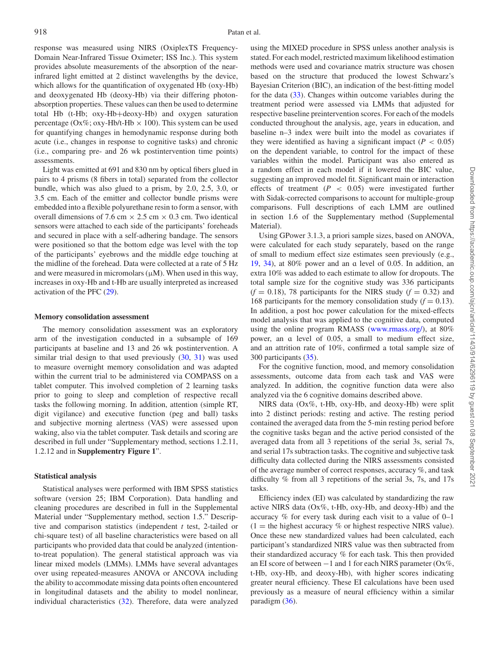response was measured using NIRS (OxiplexTS Frequency-Domain Near-Infrared Tissue Oximeter; ISS Inc.). This system provides absolute measurements of the absorption of the nearinfrared light emitted at 2 distinct wavelengths by the device, which allows for the quantification of oxygenated Hb (oxy-Hb) and deoxygenated Hb (deoxy-Hb) via their differing photonabsorption properties. These values can then be used to determine total Hb (t-Hb; oxy-Hb+deoxy-Hb) and oxygen saturation percentage (Ox%; oxy-Hb/t-Hb  $\times$  100). This system can be used for quantifying changes in hemodynamic response during both acute (i.e., changes in response to cognitive tasks) and chronic (i.e., comparing pre- and 26 wk postintervention time points) assessments.

Light was emitted at 691 and 830 nm by optical fibers glued in pairs to 4 prisms (8 fibers in total) separated from the collector bundle, which was also glued to a prism, by 2.0, 2.5, 3.0, or 3.5 cm. Each of the emitter and collector bundle prisms were embedded into a flexible polyurethane resin to form a sensor, with overall dimensions of 7.6 cm  $\times$  2.5 cm  $\times$  0.3 cm. Two identical sensors were attached to each side of the participants' foreheads and secured in place with a self-adhering bandage. The sensors were positioned so that the bottom edge was level with the top of the participants' eyebrows and the middle edge touching at the midline of the forehead. Data were collected at a rate of 5 Hz and were measured in micromolars  $(\mu M)$ . When used in this way, increases in oxy-Hb and t-Hb are usually interpreted as increased activation of the PFC [\(29\)](#page-10-2).

#### **Memory consolidation assessment**

The memory consolidation assessment was an exploratory arm of the investigation conducted in a subsample of 169 participants at baseline and 13 and 26 wk postintervention. A similar trial design to that used previously  $(30, 31)$  $(30, 31)$  $(30, 31)$  was used to measure overnight memory consolidation and was adapted within the current trial to be administered via COMPASS on a tablet computer. This involved completion of 2 learning tasks prior to going to sleep and completion of respective recall tasks the following morning. In addition, attention (simple RT, digit vigilance) and executive function (peg and ball) tasks and subjective morning alertness (VAS) were assessed upon waking, also via the tablet computer. Task details and scoring are described in full under "Supplementary method, sections 1.2.11, 1.2.12 and in **Supplementry Figure 1**".

#### **Statistical analysis**

Statistical analyses were performed with IBM SPSS statistics software (version 25; IBM Corporation). Data handling and cleaning procedures are described in full in the Supplemental Material under "Supplementary method, section 1.5." Descriptive and comparison statistics (independent *t* test, 2-tailed or chi-square test) of all baseline characteristics were based on all participants who provided data that could be analyzed (intentionto-treat population). The general statistical approach was via linear mixed models (LMMs). LMMs have several advantages over using repeated-measures ANOVA or ANCOVA including the ability to accommodate missing data points often encountered in longitudinal datasets and the ability to model nonlinear, individual characteristics [\(32\)](#page-10-5). Therefore, data were analyzed using the MIXED procedure in SPSS unless another analysis is stated. For each model, restricted maximum likelihood estimation methods were used and covariance matrix structure was chosen based on the structure that produced the lowest Schwarz's Bayesian Criterion (BIC), an indication of the best-fitting model for the data [\(33\)](#page-10-6). Changes within outcome variables during the treatment period were assessed via LMMs that adjusted for respective baseline preintervention scores. For each of the models conducted throughout the analysis, age, years in education, and baseline n–3 index were built into the model as covariates if they were identified as having a significant impact  $(P < 0.05)$ on the dependent variable, to control for the impact of these variables within the model. Participant was also entered as a random effect in each model if it lowered the BIC value, suggesting an improved model fit. Significant main or interaction effects of treatment  $(P < 0.05)$  were investigated further with Sidak-corrected comparisons to account for multiple-group comparisons. Full descriptions of each LMM are outlined in section 1.6 of the Supplementary method (Supplemental Material).

Using GPower 3.1.3, a priori sample sizes, based on ANOVA, were calculated for each study separately, based on the range of small to medium effect size estimates seen previously (e.g., [19,](#page-9-17) [34\)](#page-10-7), at 80% power and an ɑ level of 0.05. In addition, an extra 10% was added to each estimate to allow for dropouts. The total sample size for the cognitive study was 336 participants  $(f = 0.18)$ , 78 participants for the NIRS study  $(f = 0.32)$  and 168 participants for the memory consolidation study  $(f = 0.13)$ . In addition, a post hoc power calculation for the mixed-effects model analysis that was applied to the cognitive data, computed using the online program RMASS [\(www.rmass.org/\)](http://www.rmass.org/), at 80% power, an ɑ level of 0.05, a small to medium effect size, and an attrition rate of 10%, confirmed a total sample size of 300 participants [\(35\)](#page-10-8).

For the cognitive function, mood, and memory consolidation assessments, outcome data from each task and VAS were analyzed. In addition, the cognitive function data were also analyzed via the 6 cognitive domains described above.

NIRS data (Ox%, t-Hb, oxy-Hb, and deoxy-Hb) were split into 2 distinct periods: resting and active. The resting period contained the averaged data from the 5-min resting period before the cognitive tasks began and the active period consisted of the averaged data from all 3 repetitions of the serial 3s, serial 7s, and serial 17s subtraction tasks. The cognitive and subjective task difficulty data collected during the NIRS assessments consisted of the average number of correct responses, accuracy %, and task difficulty % from all 3 repetitions of the serial 3s, 7s, and 17s tasks.

Efficiency index (EI) was calculated by standardizing the raw active NIRS data (Ox%, t-Hb, oxy-Hb, and deoxy-Hb) and the accuracy % for every task during each visit to a value of 0–1  $(1 =$  the highest accuracy % or highest respective NIRS value). Once these new standardized values had been calculated, each participant's standardized NIRS value was then subtracted from their standardized accuracy % for each task. This then provided an EI score of between  $-1$  and 1 for each NIRS parameter (Ox%, t-Hb, oxy-Hb, and deoxy-Hb), with higher scores indicating greater neural efficiency. These EI calculations have been used previously as a measure of neural efficiency within a similar paradigm [\(36\)](#page-10-9).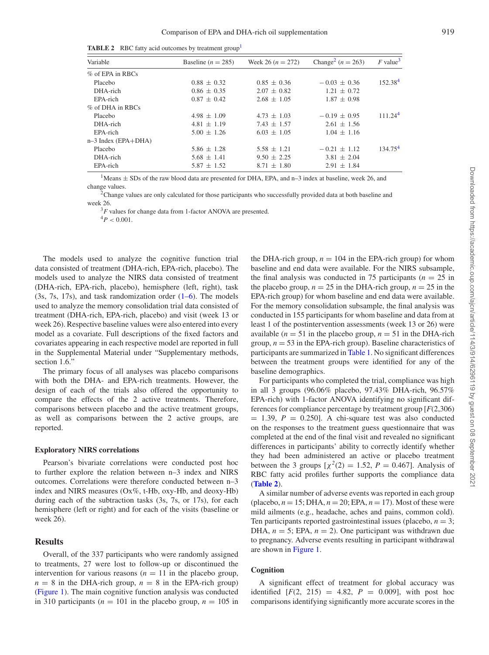<span id="page-5-4"></span>**TABLE 2** RBC fatty acid outcomes by treatment group<sup>[1](#page-5-0)</sup>

| Variable              | Baseline ( $n = 285$ ) | Week 26 ( $n = 272$ ) | Change <sup>2</sup> ( $n = 263$ ) | $F$ value <sup>3</sup> |
|-----------------------|------------------------|-----------------------|-----------------------------------|------------------------|
| % of EPA in RBCs      |                        |                       |                                   |                        |
| Placebo               | $0.88 \pm 0.32$        | $0.85 \pm 0.36$       | $-0.03 + 0.36$                    | 152.38 <sup>4</sup>    |
| DHA-rich              | $0.86 \pm 0.35$        | $2.07 \pm 0.82$       | $1.21 \pm 0.72$                   |                        |
| EPA-rich              | $0.87 \pm 0.42$        | $2.68 \pm 1.05$       | $1.87 \pm 0.98$                   |                        |
| $%$ of DHA in RBCs    |                        |                       |                                   |                        |
| Placebo               | $4.98 \pm 1.09$        | $4.73 \pm 1.03$       | $-0.19 \pm 0.95$                  | 111.24 <sup>4</sup>    |
| DHA-rich              | $4.81 \pm 1.19$        | $7.43 \pm 1.57$       | $2.61 \pm 1.56$                   |                        |
| EPA-rich              | $5.00 \pm 1.26$        | $6.03 \pm 1.05$       | $1.04 \pm 1.16$                   |                        |
| $n-3$ Index (EPA+DHA) |                        |                       |                                   |                        |
| Placebo               | $5.86 \pm 1.28$        | $5.58 \pm 1.21$       | $-0.21 \pm 1.12$                  | 134.75 <sup>4</sup>    |
| DHA-rich              | $5.68 \pm 1.41$        | $9.50 \pm 2.25$       | $3.81 \pm 2.04$                   |                        |
| EPA-rich              | $5.87 \pm 1.52$        | $8.71 \pm 1.80$       | $2.91 \pm 1.84$                   |                        |

<span id="page-5-0"></span><sup>1</sup>Means  $\pm$  SDs of the raw blood data are presented for DHA, EPA, and n–3 index at baseline, week 26, and change values.

<span id="page-5-1"></span><sup>2</sup>Change values are only calculated for those participants who successfully provided data at both baseline and week 26.

<sup>3</sup>F values for change data from 1-factor ANOVA are presented.

 $^{4}P < 0.001$ .

<span id="page-5-3"></span><span id="page-5-2"></span>The models used to analyze the cognitive function trial data consisted of treatment (DHA-rich, EPA-rich, placebo). The models used to analyze the NIRS data consisted of treatment (DHA-rich, EPA-rich, placebo), hemisphere (left, right), task (3s, 7s, 17s), and task randomization order [\(1–6\)](#page-9-0). The models used to analyze the memory consolidation trial data consisted of treatment (DHA-rich, EPA-rich, placebo) and visit (week 13 or week 26). Respective baseline values were also entered into every model as a covariate. Full descriptions of the fixed factors and covariates appearing in each respective model are reported in full in the Supplemental Material under "Supplementary methods, section 1.6."

The primary focus of all analyses was placebo comparisons with both the DHA- and EPA-rich treatments. However, the design of each of the trials also offered the opportunity to compare the effects of the 2 active treatments. Therefore, comparisons between placebo and the active treatment groups, as well as comparisons between the 2 active groups, are reported.

# **Exploratory NIRS correlations**

Pearson's bivariate correlations were conducted post hoc to further explore the relation between n–3 index and NIRS outcomes. Correlations were therefore conducted between n–3 index and NIRS measures (Ox%, t-Hb, oxy-Hb, and deoxy-Hb) during each of the subtraction tasks (3s, 7s, or 17s), for each hemisphere (left or right) and for each of the visits (baseline or week 26).

# **Results**

Overall, of the 337 participants who were randomly assigned to treatments, 27 were lost to follow-up or discontinued the intervention for various reasons  $(n = 11)$  in the placebo group,  $n = 8$  in the DHA-rich group,  $n = 8$  in the EPA-rich group) [\(Figure 1\)](#page-2-0). The main cognitive function analysis was conducted in 310 participants ( $n = 101$  in the placebo group,  $n = 105$  in the DHA-rich group,  $n = 104$  in the EPA-rich group) for whom baseline and end data were available. For the NIRS subsample, the final analysis was conducted in 75 participants  $(n = 25$  in the placebo group,  $n = 25$  in the DHA-rich group,  $n = 25$  in the EPA-rich group) for whom baseline and end data were available. For the memory consolidation subsample, the final analysis was conducted in 155 participants for whom baseline and data from at least 1 of the postintervention assessments (week 13 or 26) were available ( $n = 51$  in the placebo group,  $n = 51$  in the DHA-rich group,  $n = 53$  in the EPA-rich group). Baseline characteristics of participants are summarized in [Table 1.](#page-3-0) No significant differences between the treatment groups were identified for any of the baseline demographics.

For participants who completed the trial, compliance was high in all 3 groups (96.06% placebo, 97.43% DHA-rich, 96.57% EPA-rich) with 1-factor ANOVA identifying no significant differences for compliance percentage by treatment group [*F*(2,306)  $= 1.39$ ,  $P = 0.250$ . A chi-square test was also conducted on the responses to the treatment guess questionnaire that was completed at the end of the final visit and revealed no significant differences in participants' ability to correctly identify whether they had been administered an active or placebo treatment between the 3 groups  $[\chi^2(2) = 1.52, P = 0.467]$ . Analysis of RBC fatty acid profiles further supports the compliance data (**[Table 2](#page-5-4)**).

A similar number of adverse events was reported in each group (placebo,  $n = 15$ ; DHA,  $n = 20$ ; EPA,  $n = 17$ ). Most of these were mild ailments (e.g., headache, aches and pains, common cold). Ten participants reported gastrointestinal issues (placebo,  $n = 3$ ; DHA,  $n = 5$ ; EPA,  $n = 2$ ). One participant was withdrawn due to pregnancy. Adverse events resulting in participant withdrawal are shown in [Figure 1.](#page-2-0)

# **Cognition**

A significant effect of treatment for global accuracy was identified  $[F(2, 215) = 4.82, P = 0.009]$ , with post hoc comparisons identifying significantly more accurate scores in the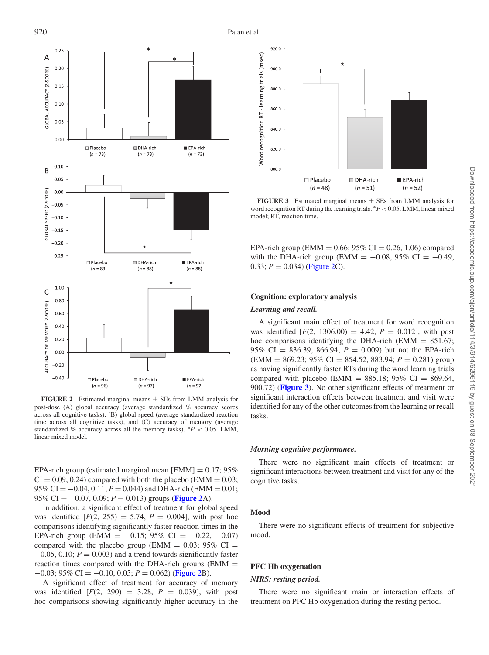<span id="page-6-0"></span>

**FIGURE 2** Estimated marginal means  $\pm$  SEs from LMM analysis for post-dose (A) global accuracy (average standardized % accuracy scores across all cognitive tasks), (B) global speed (average standardized reaction time across all cognitive tasks), and (C) accuracy of memory (average standardized % accuracy across all the memory tasks).  $*P < 0.05$ . LMM, linear mixed model.

EPA-rich group (estimated marginal mean [EMM]  $= 0.17; 95\%$  $CI = 0.09, 0.24$ ) compared with both the placebo (EMM = 0.03;  $95\%$  CI =  $-0.04$ ,  $0.11$ ;  $P = 0.044$ ) and DHA-rich (EMM = 0.01; 95% CI =  $-0.07$ , 0.09;  $P = 0.013$ ) groups (**[Figure 2](#page-6-0)**A).

In addition, a significant effect of treatment for global speed was identified  $[F(2, 255) = 5.74, P = 0.004]$ , with post hoc comparisons identifying significantly faster reaction times in the EPA-rich group (EMM =  $-0.15$ ; 95% CI =  $-0.22$ ,  $-0.07$ ) compared with the placebo group (EMM =  $0.03$ ; 95% CI = −0.05, 0.10; *P* = 0.003) and a trend towards significantly faster reaction times compared with the DHA-rich groups  $(EMM =$ −0.03; 95% CI = −0.10, 0.05; *P* = 0.062) [\(Figure 2B](#page-6-0)).

A significant effect of treatment for accuracy of memory was identified  $[F(2, 290) = 3.28, P = 0.039]$ , with post hoc comparisons showing significantly higher accuracy in the

<span id="page-6-1"></span>

**FIGURE 3** Estimated marginal means  $\pm$  SEs from LMM analysis for word recognition RT during the learning trials. ∗*P* < 0.05. LMM, linear mixed model; RT, reaction time.

EPA-rich group (EMM =  $0.66$ ; 95% CI = 0.26, 1.06) compared with the DHA-rich group (EMM =  $-0.08$ , 95% CI =  $-0.49$ , 0.33;  $P = 0.034$ ) [\(Figure 2C](#page-6-0)).

## **Cognition: exploratory analysis**

#### *Learning and recall.*

A significant main effect of treatment for word recognition was identified  $[F(2, 1306.00) = 4.42, P = 0.012]$ , with post hoc comparisons identifying the DHA-rich (EMM  $= 851.67$ ; 95% CI = 836.39, 866.94; *P* = 0.009) but not the EPA-rich  $\text{EMM} = 869.23$ ; 95% CI = 854.52, 883.94;  $P = 0.281$ ) group as having significantly faster RTs during the word learning trials compared with placebo (EMM =  $885.18$ ; 95% CI = 869.64, 900.72) (**[Figure 3](#page-6-1)**). No other significant effects of treatment or significant interaction effects between treatment and visit were identified for any of the other outcomes from the learning or recall tasks.

#### *Morning cognitive performance.*

There were no significant main effects of treatment or significant interactions between treatment and visit for any of the cognitive tasks.

#### **Mood**

There were no significant effects of treatment for subjective mood.

# **PFC Hb oxygenation**

# *NIRS: resting period.*

There were no significant main or interaction effects of treatment on PFC Hb oxygenation during the resting period.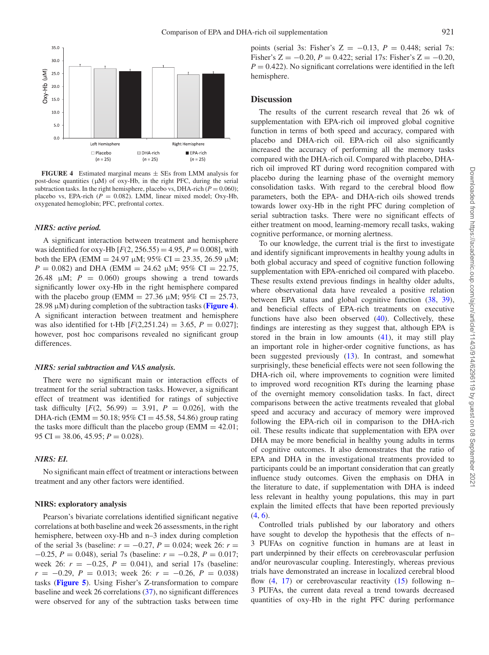<span id="page-7-0"></span>

**FIGURE 4** Estimated marginal means ± SEs from LMM analysis for post-dose quantities (μM) of oxy-Hb, in the right PFC, during the serial subtraction tasks. In the right hemisphere, placebo vs, DHA-rich ( $P = 0.060$ ); placebo vs, EPA-rich ( $P = 0.082$ ). LMM, linear mixed model; Oxy-Hb, oxygenated hemoglobin; PFC, prefrontal cortex.

#### *NIRS: active period.*

A significant interaction between treatment and hemisphere was identified for oxy-Hb  $[F(2, 256.55) = 4.95, P = 0.008]$ , with both the EPA (EMM = 24.97  $\mu$ M; 95% CI = 23.35, 26.59  $\mu$ M;  $P = 0.082$ ) and DHA (EMM = 24.62  $\mu$ M; 95% CI = 22.75, 26.48  $\mu$ M;  $P = 0.060$ ) groups showing a trend towards significantly lower oxy-Hb in the right hemisphere compared with the placebo group (EMM = 27.36  $\mu$ M; 95% CI = 25.73, 28.98 μM) during completion of the subtraction tasks (**[Figure 4](#page-7-0)**). A significant interaction between treatment and hemisphere was also identified for t-Hb  $[F(2,251.24) = 3.65, P = 0.027]$ ; however, post hoc comparisons revealed no significant group differences.

#### *NIRS: serial subtraction and VAS analysis.*

There were no significant main or interaction effects of treatment for the serial subtraction tasks. However, a significant effect of treatment was identified for ratings of subjective task difficulty  $[F(2, 56.99) = 3.91, P = 0.026]$ , with the DHA-rich (EMM = 50.18; 95% CI = 45.58, 54.86) group rating the tasks more difficult than the placebo group ( $EMM = 42.01$ ; 95 CI = 38.06, 45.95; *P* = 0.028).

## *NIRS: EI.*

No significant main effect of treatment or interactions between treatment and any other factors were identified.

## **NIRS: exploratory analysis**

Pearson's bivariate correlations identified significant negative correlations at both baseline and week 26 assessments, in the right hemisphere, between oxy-Hb and n–3 index during completion of the serial 3s (baseline:  $r = -0.27$ ,  $P = 0.024$ ; week 26:  $r =$ −0.25, *P* = 0.048), serial 7s (baseline: *r* = −0.28, *P* = 0.017; week 26:  $r = -0.25$ ,  $P = 0.041$ ), and serial 17s (baseline: *r* = −0.29, *P* = 0.013; week 26: *r* = −0.26, *P* = 0.038) tasks (**[Figure 5](#page-8-0)**). Using Fisher's Z-transformation to compare baseline and week 26 correlations [\(37\)](#page-10-10), no significant differences were observed for any of the subtraction tasks between time points (serial 3s: Fisher's  $Z = -0.13$ ,  $P = 0.448$ ; serial 7s: Fisher's  $Z = -0.20$ ,  $P = 0.422$ ; serial 17s: Fisher's  $Z = -0.20$ ,  $P = 0.422$ ). No significant correlations were identified in the left hemisphere.

## **Discussion**

The results of the current research reveal that 26 wk of supplementation with EPA-rich oil improved global cognitive function in terms of both speed and accuracy, compared with placebo and DHA-rich oil. EPA-rich oil also significantly increased the accuracy of performing all the memory tasks compared with the DHA-rich oil. Compared with placebo, DHArich oil improved RT during word recognition compared with placebo during the learning phase of the overnight memory consolidation tasks. With regard to the cerebral blood flow parameters, both the EPA- and DHA-rich oils showed trends towards lower oxy-Hb in the right PFC during completion of serial subtraction tasks. There were no significant effects of either treatment on mood, learning-memory recall tasks, waking cognitive performance, or morning alertness.

To our knowledge, the current trial is the first to investigate and identify significant improvements in healthy young adults in both global accuracy and speed of cognitive function following supplementation with EPA-enriched oil compared with placebo. These results extend previous findings in healthy older adults, where observational data have revealed a positive relation between EPA status and global cognitive function [\(38,](#page-10-11) [39\)](#page-10-12), and beneficial effects of EPA-rich treatments on executive functions have also been observed [\(40\)](#page-10-13). Collectively, these findings are interesting as they suggest that, although EPA is stored in the brain in low amounts [\(41\)](#page-10-14), it may still play an important role in higher-order cognitive functions, as has been suggested previously [\(13\)](#page-9-11). In contrast, and somewhat surprisingly, these beneficial effects were not seen following the DHA-rich oil, where improvements to cognition were limited to improved word recognition RTs during the learning phase of the overnight memory consolidation tasks. In fact, direct comparisons between the active treatments revealed that global speed and accuracy and accuracy of memory were improved following the EPA-rich oil in comparison to the DHA-rich oil. These results indicate that supplementation with EPA over DHA may be more beneficial in healthy young adults in terms of cognitive outcomes. It also demonstrates that the ratio of EPA and DHA in the investigational treatments provided to participants could be an important consideration that can greatly influence study outcomes. Given the emphasis on DHA in the literature to date, if supplementation with DHA is indeed less relevant in healthy young populations, this may in part explain the limited effects that have been reported previously  $(4, 6)$  $(4, 6)$  $(4, 6)$ .

Controlled trials published by our laboratory and others have sought to develop the hypothesis that the effects of n– 3 PUFAs on cognitive function in humans are at least in part underpinned by their effects on cerebrovascular perfusion and/or neurovascular coupling. Interestingly, whereas previous trials have demonstrated an increase in localized cerebral blood flow  $(4, 17)$  $(4, 17)$  $(4, 17)$  or cerebrovascular reactivity  $(15)$  following n-3 PUFAs, the current data reveal a trend towards decreased quantities of oxy-Hb in the right PFC during performance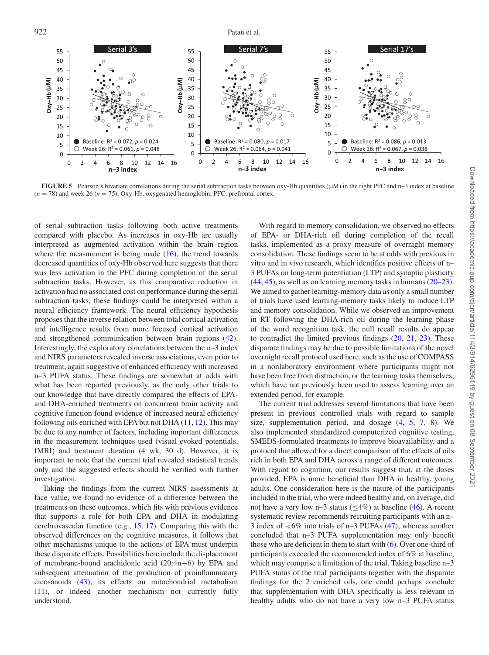<span id="page-8-0"></span>

**FIGURE 5** Pearson's bivariate correlations during the serial subtraction tasks between oxy-Hb quantities (μM) in the right PFC and n–3 index at baseline  $(n = 78)$  and week 26  $(n = 75)$ . Oxy-Hb, oxygenated hemoglobin; PFC, prefrontal cortex.

of serial subtraction tasks following both active treatments compared with placebo. As increases in oxy-Hb are usually interpreted as augmented activation within the brain region where the measurement is being made  $(16)$ , the trend towards decreased quantities of oxy-Hb observed here suggests that there was less activation in the PFC during completion of the serial subtraction tasks. However, as this comparative reduction in activation had no associated cost on performance during the serial subtraction tasks, these findings could be interpreted within a neural efficiency framework. The neural efficiency hypothesis proposes that the inverse relation between total cortical activation and intelligence results from more focused cortical activation and strengthened communication between brain regions [\(42\)](#page-10-15). Interestingly, the exploratory correlations between the n–3 index and NIRS parameters revealed inverse associations, even prior to treatment, again suggestive of enhanced efficiency with increased n–3 PUFA status. These findings are somewhat at odds with what has been reported previously, as the only other trials to our knowledge that have directly compared the effects of EPAand DHA-enriched treatments on concurrent brain activity and cognitive function found evidence of increased neural efficiency following oils enriched with EPA but not DHA  $(11, 12)$  $(11, 12)$  $(11, 12)$ . This may be due to any number of factors, including important differences in the measurement techniques used (visual evoked potentials, fMRI) and treatment duration (4 wk, 30 d). However, it is important to note that the current trial revealed statistical trends only and the suggested effects should be verified with further investigation.

Taking the findings from the current NIRS assessments at face value, we found no evidence of a difference between the treatments on these outcomes, which fits with previous evidence that supports a role for both EPA and DHA in modulating cerebrovascular function (e.g., [15,](#page-9-9) [17\)](#page-9-10). Comparing this with the observed differences on the cognitive measures, it follows that other mechanisms unique to the actions of EPA must underpin these disparate effects. Possibilities here include the displacement of membrane-bound arachidonic acid (20:4n−6) by EPA and subsequent attenuation of the production of proinflammatory eicosanoids [\(43\)](#page-10-16), its effects on mitochondrial metabolism [\(11\)](#page-9-9), or indeed another mechanism not currently fully understood.

With regard to memory consolidation, we observed no effects of EPA- or DHA-rich oil during completion of the recall tasks, implemented as a proxy measure of overnight memory consolidation. These findings seem to be at odds with previous in vitro and in vivo research, which identifies positive effects of n– 3 PUFAs on long-term potentiation (LTP) and synaptic plasticity [\(44,](#page-10-17) [45\)](#page-10-18), as well as on learning memory tasks in humans [\(20–23\)](#page-9-18). We aimed to gather learning-memory data as only a small number of trials have used learning-memory tasks likely to induce LTP and memory consolidation. While we observed an improvement in RT following the DHA-rich oil during the learning phase of the word recognition task, the null recall results do appear to contradict the limited previous findings [\(20,](#page-9-18) [21,](#page-9-24) [23\)](#page-9-25). These disparate findings may be due to possible limitations of the novel overnight recall protocol used here, such as the use of COMPASS in a nonlaboratory environment where participants might not have been free from distraction, or the learning tasks themselves, which have not previously been used to assess learning over an extended period, for example.

The current trial addresses several limitations that have been present in previous controlled trials with regard to sample size, supplementation period, and dosage [\(4,](#page-9-3) [5,](#page-9-4) [7,](#page-9-5) [8\)](#page-9-6). We also implemented standardized computerized cognitive testing, SMEDS-formulated treatments to improve bioavailability, and a protocol that allowed for a direct comparison of the effects of oils rich in both EPA and DHA across a range of different outcomes. With regard to cognition, our results suggest that, at the doses provided, EPA is more beneficial than DHA in healthy, young adults. One consideration here is the nature of the participants included in the trial, who were indeed healthy and, on average, did not have a very low n–3 status ( $\leq$ 4%) at baseline [\(46\)](#page-10-19). A recent systematic review recommends recruiting participants with an n– 3 index of <6% into trials of n–3 PUFAs [\(47\)](#page-10-20), whereas another concluded that n–3 PUFA supplementation may only benefit those who are deficient in them to start with [\(6\)](#page-9-23). Over one-third of participants exceeded the recommended index of 6% at baseline, which may comprise a limitation of the trial. Taking baseline n–3 PUFA status of the trial participants together with the disparate findings for the 2 enriched oils, one could perhaps conclude that supplementation with DHA specifically is less relevant in healthy adults who do not have a very low n–3 PUFA status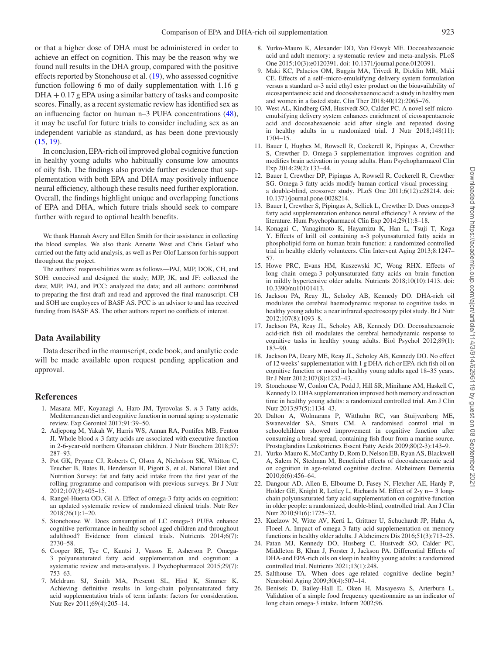or that a higher dose of DHA must be administered in order to achieve an effect on cognition. This may be the reason why we found null results in the DHA group, compared with the positive effects reported by Stonehouse et al. [\(19\)](#page-9-17), who assessed cognitive function following 6 mo of daily supplementation with 1.16 g  $DHA + 0.17$  g EPA using a similar battery of tasks and composite scores. Finally, as a recent systematic review has identified sex as an influencing factor on human n–3 PUFA concentrations [\(48\)](#page-10-21), it may be useful for future trials to consider including sex as an independent variable as standard, as has been done previously [\(15,](#page-9-13) [19\)](#page-9-17).

In conclusion, EPA-rich oil improved global cognitive function in healthy young adults who habitually consume low amounts of oily fish. The findings also provide further evidence that supplementation with both EPA and DHA may positively influence neural efficiency, although these results need further exploration. Overall, the findings highlight unique and overlapping functions of EPA and DHA, which future trials should seek to compare further with regard to optimal health benefits.

We thank Hannah Avery and Ellen Smith for their assistance in collecting the blood samples. We also thank Annette West and Chris Gelauf who carried out the fatty acid analysis, as well as Per-Olof Larsson for his support throughout the project.

The authors' responsibilities were as follows—PAJ, MJP, DOK, CH, and SOH: conceived and designed the study; MJP, JK, and JF: collected the data; MJP, PAJ, and PCC: analyzed the data; and all authors: contributed to preparing the first draft and read and approved the final manuscript. CH and SOH are employees of BASF AS. PCC is an advisor to and has received funding from BASF AS. The other authors report no conflicts of interest.

## **Data Availability**

Data described in the manuscript, code book, and analytic code will be made available upon request pending application and approval.

## **References**

- <span id="page-9-0"></span>1. Masana MF, Koyanagi A, Haro JM, Tyrovolas S. *n*-3 Fatty acids, Mediterranean diet and cognitive function in normal aging: a systematic review. Exp Gerontol 2017;91:39–50.
- <span id="page-9-1"></span>2. Adjepong M, Yakah W, Harris WS, Annan RA, Pontifex MB, Fenton JI. Whole blood *n*-3 fatty acids are associated with executive function in 2-6-year-old northern Ghanaian children. J Nutr Biochem 2018;57: 287–93.
- <span id="page-9-2"></span>3. Pot GK, Prynne CJ, Roberts C, Olson A, Nicholson SK, Whitton C, Teucher B, Bates B, Henderson H, Pigott S, et al. National Diet and Nutrition Survey: fat and fatty acid intake from the first year of the rolling programme and comparison with previous surveys. Br J Nutr 2012;107(3):405–15.
- <span id="page-9-3"></span>4. Rangel-Huerta OD, Gil A. Effect of omega-3 fatty acids on cognition: an updated systematic review of randomized clinical trials. Nutr Rev 2018;76(1):1–20.
- <span id="page-9-4"></span>5. Stonehouse W. Does consumption of LC omega-3 PUFA enhance cognitive performance in healthy school-aged children and throughout adulthood? Evidence from clinical trials. Nutrients 2014;6(7): 2730–58.
- <span id="page-9-23"></span>6. Cooper RE, Tye C, Kuntsi J, Vassos E, Asherson P. Omega-3 polyunsaturated fatty acid supplementation and cognition: a systematic review and meta-analysis. J Psychopharmacol 2015;29(7): 753–63.
- <span id="page-9-5"></span>7. Meldrum SJ, Smith MA, Prescott SL, Hird K, Simmer K. Achieving definitive results in long-chain polyunsaturated fatty acid supplementation trials of term infants: factors for consideration. Nutr Rev 2011;69(4):205–14.
- <span id="page-9-6"></span>8. Yurko-Mauro K, Alexander DD, Van Elswyk ME. Docosahexaenoic acid and adult memory: a systematic review and meta-analysis. PLoS One 2015;10(3):e0120391. doi: 10.1371/journal.pone.0120391.
- <span id="page-9-7"></span>9. Maki KC, Palacios OM, Buggia MA, Trivedi R, Dicklin MR, Maki CE. Effects of a self–micro-emulsifying delivery system formulation versus a standard ω-3 acid ethyl ester product on the bioavailability of eicosapentaenoic acid and docosahexaenoic acid: a study in healthy men and women in a fasted state. Clin Ther 2018;40(12):2065–76.
- <span id="page-9-8"></span>10. West AL, Kindberg GM, Hustvedt SO, Calder PC. A novel self-microemulsifying delivery system enhances enrichment of eicosapentaenoic acid and docosahexaenoic acid after single and repeated dosing in healthy adults in a randomized trial. J Nutr 2018;148(11): 1704–15.
- <span id="page-9-9"></span>11. Bauer I, Hughes M, Rowsell R, Cockerell R, Pipingas A, Crewther S, Crewther D. Omega-3 supplementation improves cognition and modifies brain activation in young adults. Hum Psychopharmacol Clin Exp 2014;29(2):133–44.
- <span id="page-9-10"></span>12. Bauer I, Crewther DP, Pipingas A, Rowsell R, Cockerell R, Crewther SG. Omega-3 fatty acids modify human cortical visual processing a double-blind, crossover study. PLoS One 2011;6(12):e28214. doi: 10.1371/journal.pone.0028214.
- <span id="page-9-11"></span>13. Bauer I, Crewther S, Pipingas A, Sellick L, Crewther D. Does omega-3 fatty acid supplementation enhance neural efficiency? A review of the literature. Hum Psychopharmacol Clin Exp 2014;29(1):8–18.
- <span id="page-9-12"></span>14. Konagai C, Yanagimoto K, Hayamizu K, Han L, Tsuji T, Koga Y. Effects of krill oil containing n-3 polyunsaturated fatty acids in phospholipid form on human brain function: a randomized controlled trial in healthy elderly volunteers. Clin Intervent Aging 2013;8:1247– 57.
- <span id="page-9-13"></span>15. Howe PRC, Evans HM, Kuszewski JC, Wong RHX. Effects of long chain omega-3 polyunsaturated fatty acids on brain function in mildly hypertensive older adults. Nutrients 2018;10(10):1413. doi: 10.3390/nu10101413.
- <span id="page-9-14"></span>16. Jackson PA, Reay JL, Scholey AB, Kennedy DO. DHA-rich oil modulates the cerebral haemodynamic response to cognitive tasks in healthy young adults: a near infrared spectroscopy pilot study. Br J Nutr 2012;107(8):1093–8.
- <span id="page-9-15"></span>17. Jackson PA, Reay JL, Scholey AB, Kennedy DO. Docosahexaenoic acid-rich fish oil modulates the cerebral hemodynamic response to cognitive tasks in healthy young adults. Biol Psychol 2012;89(1): 183–90.
- <span id="page-9-16"></span>18. Jackson PA, Deary ME, Reay JL, Scholey AB, Kennedy DO. No effect of 12 weeks' supplementation with 1 g DHA-rich or EPA-rich fish oil on cognitive function or mood in healthy young adults aged 18–35 years. Br J Nutr 2012;107(8):1232–43.
- <span id="page-9-17"></span>19. Stonehouse W, Conlon CA, Podd J, Hill SR, Minihane AM, Haskell C, Kennedy D. DHA supplementation improved both memory and reaction time in healthy young adults: a randomized controlled trial. Am J Clin Nutr 2013;97(5):1134–43.
- <span id="page-9-18"></span>20. Dalton A, Wolmarans P, Witthuhn RC, van Stuijvenberg ME, Swanevelder SA, Smuts CM. A randomised control trial in schoolchildren showed improvement in cognitive function after consuming a bread spread, containing fish flour from a marine source. Prostaglandins Leukotrienes Essent Fatty Acids 2009;80(2-3):143–9.
- <span id="page-9-24"></span>21. Yurko-Mauro K, McCarthy D, Rom D, Nelson EB, Ryan AS, Blackwell A, Salem N, Stedman M, Beneficial effects of docosahexaenoic acid on cognition in age-related cognitive decline. Alzheimers Dementia 2010;6(6):456–64.
- <span id="page-9-22"></span>22. Dangour AD, Allen E, Elbourne D, Fasey N, Fletcher AE, Hardy P, Holder GE, Knight R, Letley L, Richards M. Effect of 2-y n− 3 longchain polyunsaturated fatty acid supplementation on cognitive function in older people: a randomized, double-blind, controlled trial. Am J Clin Nutr 2010;91(6):1725–32.
- <span id="page-9-25"></span>23. Kuelzow N, Witte AV, Kerti L, Grittner U, Schuchardt JP, Hahn A, Floeel A. Impact of omega-3 fatty acid supplementation on memory functions in healthy older adults. J Alzheimers Dis 2016;51(3):713–25.
- <span id="page-9-19"></span>24. Patan MJ, Kennedy DO, Husberg C, Hustvedt SO, Calder PC, Middleton B, Khan J, Forster J, Jackson PA. Differential Effects of DHA-and EPA-rich oils on sleep in healthy young adults: a randomized controlled trial. Nutrients 2021;13(1):248.
- <span id="page-9-20"></span>25. Salthouse TA. When does age-related cognitive decline begin? Neurobiol Aging 2009;30(4):507–14.
- <span id="page-9-21"></span>26. Benisek D, Bailey-Hall E, Oken H, Masayesva S, Arterburn L. Validation of a simple food frequency questionnaire as an indicator of long chain omega-3 intake. Inform 2002;96.